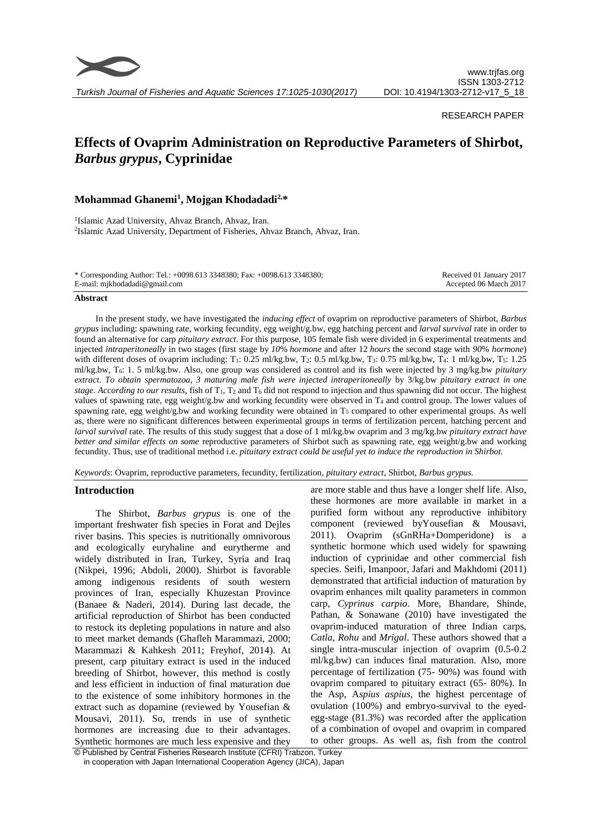

*Turkish Journal of Fisheries and Aquatic Sciences 17:1025-1030(2017)*

## RESEARCH PAPER

# **Effects of Ovaprim Administration on Reproductive Parameters of Shirbot,**  *Barbus grypus***, Cyprinidae**

# **Mohammad Ghanemi<sup>1</sup> , Mojgan Khodadadi2,\***

<sup>1</sup>Islamic Azad University, Ahvaz Branch, Ahvaz, Iran. 2 Islamic Azad University, Department of Fisheries, Ahvaz Branch, Ahvaz, Iran.

| * Corresponding Author: Tel.: +0098.613 3348380; Fax: +0098.613 3348380; | Received 01 January 2017 |
|--------------------------------------------------------------------------|--------------------------|
| E-mail: mjkhodadadi@gmail.com                                            | Accepted 06 March 2017   |
|                                                                          |                          |

#### **Abstract**

In the present study, we have investigated the *inducing effect* of ovaprim on reproductive parameters of Shirbot, *Barbus grypus* including: spawning rate, working fecundity, egg weight/g.bw, egg hatching percent and *larval survival* rate in order to found an alternative for carp *pituitary extract*. For this purpose, 105 female fish were divided in 6 experimental treatments and injected *intraperitoneally* in two stages (first stage by *10*% *hormone* and after 12 *hours* the second stage with *90*% *hormone*) with different doses of ovaprim including: T<sub>1</sub>: 0.25 ml/kg.bw, T<sub>2</sub>: 0.5 ml/kg.bw, T<sub>3</sub>: 0.75 ml/kg.bw, T<sub>4</sub>: 1 ml/kg.bw, T<sub>5</sub>: 1.25 ml/kg.bw, T6: 1. 5 ml/kg.bw. Also, one group was considered as control and its fish were injected by 3 mg/kg.bw *pituitary extract. To obtain spermatozoa, 3 maturing male fish were injected intraperitoneally* by 3/kg.bw *pituitary extract in one stage. According to our results,* fish of T1, T<sup>2</sup> and T<sup>6</sup> did not respond to injection and thus spawning did not occur. The highest values of spawning rate, egg weight/g.bw and working fecundity were observed in T<sup>4</sup> and control group. The lower values of spawning rate, egg weight/g.bw and working fecundity were obtained in  $T_5$  compared to other experimental groups. As well as, there were no significant differences between experimental groups in terms of fertilization percent, hatching percent and *larval survival* rate. The results of this study suggest that a dose of 1 ml/kg.bw ovaprim and 3 mg/kg.bw *pituitary extract have better and similar effects on some* reproductive parameters of Shirbot such as spawning rate, egg weight/g.bw and working fecundity. Thus, use of traditional method i.e. *pituitary extract could be useful yet to induce the reproduction in Shirbot.* 

*Keywords*: Ovaprim, reproductive parameters, fecundity, fertilization, *pituitary extract*, Shirbot, *Barbus grypus.*

# **Introduction**

The Shirbot, *Barbus grypus* is one of the important freshwater fish species in Forat and Dejles river basins. This species is nutritionally omnivorous and ecologically euryhaline and eurytherme and widely distributed in Iran, Turkey, Syria and Iraq (Nikpei, 1996; Abdoli, 2000). Shirbot is favorable among indigenous residents of south western provinces of Iran, especially Khuzestan Province (Banaee & Naderi, 2014). During last decade, the artificial reproduction of Shirbot has been conducted to restock its depleting populations in nature and also to meet market demands (Ghafleh Marammazi, 2000; Marammazi & Kahkesh 2011; Freyhof, 2014). At present, carp pituitary extract is used in the induced breeding of Shirbot, however, this method is costly and less efficient in induction of final maturation due to the existence of some inhibitory hormones in the extract such as dopamine (reviewed by Yousefian & Mousavi, 2011). So, trends in use of synthetic hormones are increasing due to their advantages. Synthetic hormones are much less expensive and they

are more stable and thus have a longer shelf life. Also, these hormones are more available in market in a purified form without any reproductive inhibitory component (reviewed byYousefian & Mousavi, 2011). Ovaprim (sGnRHa+Domperidone) is a synthetic hormone which used widely for spawning induction of cyprinidae and other commercial fish species. Seifi, Imanpoor, Jafari and Makhdomi (2011) demonstrated that artificial induction of maturation by ovaprim enhances milt quality parameters in common carp, *Cyprinus carpio*. More, Bhandare, Shinde, Pathan, & Sonawane (2010) have investigated the ovaprim-induced maturation of three Indian carps, *Catla, Rohu* and *Mrigal*. These authors showed that a single intra-muscular injection of ovaprim (0.5-0.2 ml/kg.bw) can induces final maturation. Also, more percentage of fertilization (75- 90%) was found with ovaprim compared to pituitary extract (65- 80%). In the Asp, A*spius aspius*, the highest percentage of ovulation (100%) and embryo-survival to the eyedegg-stage (81.3%) was recorded after the application of a combination of ovopel and ovaprim in compared to other groups. As well as, fish from the control

<sup>©</sup> Published by Central Fisheries Research Institute (CFRI) Trabzon, Turkey in cooperation with Japan International Cooperation Agency (JICA), Japan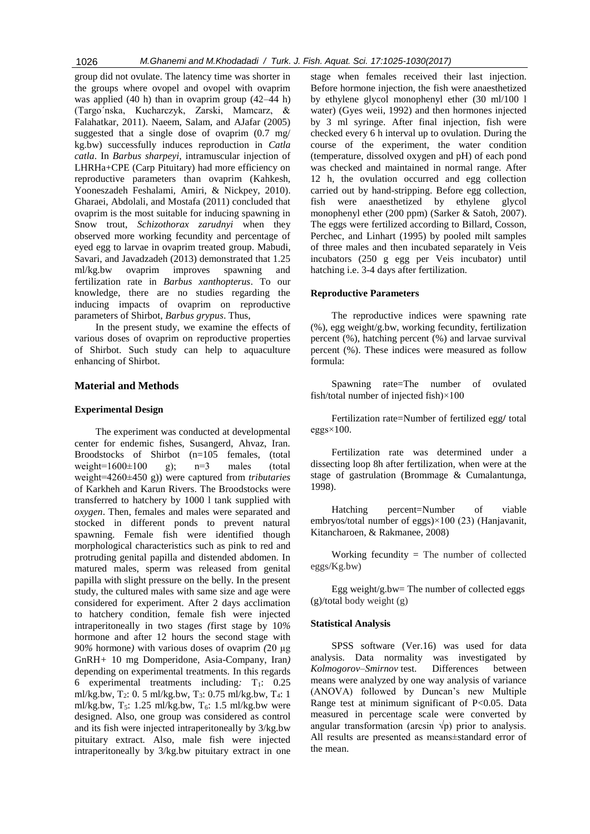group did not ovulate. The latency time was shorter in the groups where ovopel and ovopel with ovaprim was applied (40 h) than in ovaprim group (42–44 h) (Targo´nska, Kucharczyk, Zarski, Mamcarz, & Falahatkar, 2011). Naeem, Salam, and AJafar (2005) suggested that a single dose of ovaprim (0.7 mg/ kg.bw) successfully induces reproduction in *Catla catla*. In *Barbus sharpeyi*, intramuscular injection of LHRHa+CPE (Carp Pituitary) had more efficiency on reproductive parameters than ovaprim (Kahkesh, Yooneszadeh Feshalami, Amiri, & Nickpey, 2010). Gharaei, Abdolali, and Mostafa (2011) concluded that ovaprim is the most suitable for inducing spawning in Snow trout, *Schizothorax zarudnyi* when they observed more working fecundity and percentage of eyed egg to larvae in ovaprim treated group. Mabudi, Savari, and Javadzadeh (2013) demonstrated that 1.25 ml/kg.bw ovaprim improves spawning and fertilization rate in *Barbus xanthopterus*. To our knowledge, there are no studies regarding the inducing impacts of ovaprim on reproductive parameters of Shirbot, *Barbus grypus*. Thus,

In the present study, we examine the effects of various doses of ovaprim on reproductive properties of Shirbot. Such study can help to aquaculture enhancing of Shirbot.

## **Material and Methods**

#### **Experimental Design**

The experiment was conducted at developmental center for endemic fishes, Susangerd, Ahvaz, Iran. Broodstocks of Shirbot (n=105 females, (total weight= $1600\pm100$  g); n=3 males (total weight=4260±450 g)) were captured from *tributaries* of Karkheh and Karun Rivers. The Broodstocks were transferred to hatchery by 1000 l tank supplied with *oxygen*. Then, females and males were separated and stocked in different ponds to prevent natural spawning. Female fish were identified though morphological characteristics such as pink to red and protruding genital papilla and distended abdomen. In matured males, sperm was released from genital papilla with slight pressure on the belly. In the present study, the cultured males with same size and age were considered for experiment. After 2 days acclimation to hatchery condition, female fish were injected intraperitoneally in two stages *(*first stage by 10*%* hormone and after 12 hours the second stage with 90*%* hormone*)* with various doses of ovaprim *(*20 µg GnRH*+* 10 mg Domperidone*,* Asia-Company, Iran*)*  depending on experimental treatments*.* In this regards 6 experimental treatments including*:* T1: 0.25 ml/kg.bw, T2: 0. 5 ml/kg.bw, T3: 0.75 ml/kg.bw, T4: 1 ml/kg.bw,  $T_5$ : 1.25 ml/kg.bw,  $T_6$ : 1.5 ml/kg.bw were designed. Also, one group was considered as control and its fish were injected intraperitoneally by 3/kg.bw pituitary extract*.* Also, male fish were injected intraperitoneally by 3/kg.bw pituitary extract in one

stage when females received their last injection. Before hormone injection, the fish were anaesthetized by ethylene glycol monophenyl ether (30 ml/100 l water) (Gyes weii, 1992) and then hormones injected by 3 ml syringe. After final injection, fish were checked every 6 h interval up to ovulation. During the course of the experiment, the water condition (temperature, dissolved oxygen and pH) of each pond was checked and maintained in normal range. After 12 h, the ovulation occurred and egg collection carried out by hand-stripping. Before egg collection, fish were anaesthetized by ethylene glycol monophenyl ether (200 ppm) (Sarker & Satoh, 2007). The eggs were fertilized according to Billard, Cosson, Perchec, and Linhart (1995) by pooled milt samples of three males and then incubated separately in Veis incubators (250 g egg per Veis incubator) until hatching i.e. 3-4 days after fertilization.

#### **Reproductive Parameters**

The reproductive indices were spawning rate (%), egg weight/g.bw, working fecundity, fertilization percent (%), hatching percent (%) and larvae survival percent (%). These indices were measured as follow formula:

Spawning rate=The number of ovulated fish/total number of injected fish)×100

Fertilization rate=Number of fertilized egg**/** total  $eggs \times 100$ .

Fertilization rate was determined under a dissecting loop 8h after fertilization, when were at the stage of gastrulation (Brommage & Cumalantunga, 1998).

Hatching percent=Number of viable embryos/total number of eggs)×100 (23) (Hanjavanit, Kitancharoen, & Rakmanee, 2008)

Working fecundity = The number of collected eggs/Kg.bw)

Egg weight/g.bw= The number of collected eggs (g)/total body weight (g)

#### **Statistical Analysis**

SPSS software (Ver.16) was used for data analysis. Data normality was investigated by *Kolmogorov*–*Smirnov* test. Differences between means were analyzed by one way analysis of variance (ANOVA) followed by Duncan's new Multiple Range test at minimum significant of P<0.05. Data measured in percentage scale were converted by angular transformation (arcsin  $\sqrt{p}$ ) prior to analysis. All results are presented as means±standard error of the mean.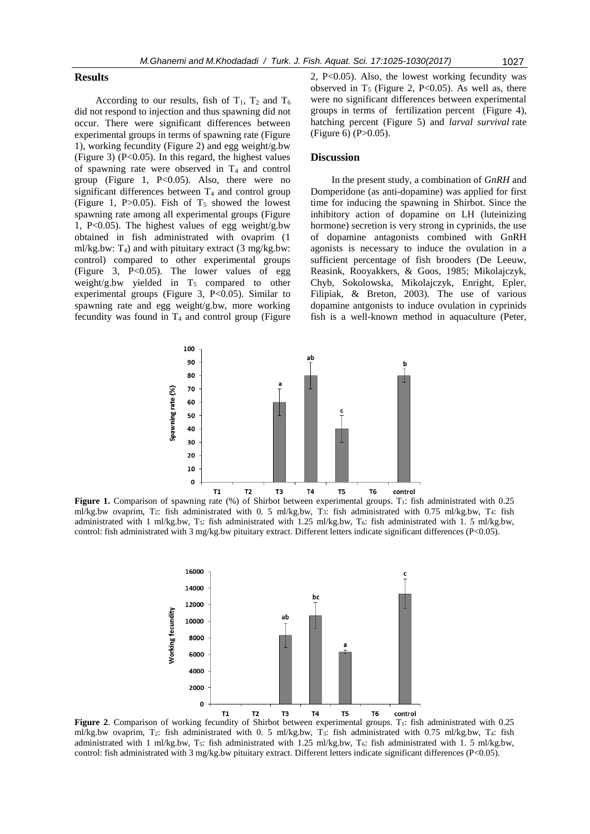#### **Results**

According to our results, fish of  $T_1$ ,  $T_2$  and  $T_6$ did not respond to injection and thus spawning did not occur. There were significant differences between experimental groups in terms of spawning rate (Figure 1), working fecundity (Figure 2) and egg weight/g.bw (Figure 3) (P<0.05). In this regard, the highest values of spawning rate were observed in  $T_4$  and control group (Figure 1,  $P<0.05$ ). Also, there were no significant differences between  $T_4$  and control group (Figure 1, P $>0.05$ ). Fish of T<sub>5</sub> showed the lowest spawning rate among all experimental groups (Figure 1, P<0.05). The highest values of egg weight/g.bw obtained in fish administrated with ovaprim (1 ml/kg.bw:  $T_4$ ) and with pituitary extract (3 mg/kg.bw: control) compared to other experimental groups (Figure 3, P<0.05). The lower values of egg weight/g.bw yielded in  $T_5$  compared to other experimental groups (Figure 3,  $P<0.05$ ). Similar to spawning rate and egg weight/g.bw, more working fecundity was found in  $T_4$  and control group (Figure 2, P<0.05). Also, the lowest working fecundity was observed in  $T_5$  (Figure 2, P<0.05). As well as, there were no significant differences between experimental groups in terms of fertilization percent (Figure 4), hatching percent (Figure 5) and *larval survival* rate  $(Figure 6) (P > 0.05)$ .

#### **Discussion**

In the present study, a combination of *GnRH* and Domperidone (as anti-dopamine) was applied for first time for inducing the spawning in Shirbot. Since the inhibitory action of dopamine on LH (luteinizing hormone) secretion is very strong in cyprinids, the use of dopamine antagonists combined with GnRH agonists is necessary to induce the ovulation in a sufficient percentage of fish brooders (De Leeuw, Reasink, Rooyakkers, & Goos, 1985; Mikolajczyk, Chyb, Sokolowska, Mikolajczyk, Enright, Epler, Filipiak, & Breton, 2003). The use of various dopamine antgonists to induce ovulation in cyprinids fish is a well-known method in aquaculture (Peter,



Figure 1. Comparison of spawning rate (%) of Shirbot between experimental groups. T<sub>1</sub>: fish administrated with 0.25 ml/kg.bw ovaprim, T2: fish administrated with 0. 5 ml/kg.bw, T3: fish administrated with 0.75 ml/kg.bw, T4: fish administrated with 1 ml/kg.bw, T5: fish administrated with 1.25 ml/kg.bw, T6: fish administrated with 1. 5 ml/kg.bw, control: fish administrated with 3 mg/kg.bw pituitary extract. Different letters indicate significant differences (P<0.05).



Figure 2. Comparison of working fecundity of Shirbot between experimental groups. T<sub>1</sub>: fish administrated with 0.25 ml/kg.bw ovaprim, T2: fish administrated with 0. 5 ml/kg.bw, T3: fish administrated with 0.75 ml/kg.bw, T4: fish administrated with 1 ml/kg.bw, T<sub>5</sub>: fish administrated with 1.25 ml/kg.bw, T<sub>6</sub>: fish administrated with 1.5 ml/kg.bw, control: fish administrated with 3 mg/kg.bw pituitary extract. Different letters indicate significant differences (P<0.05).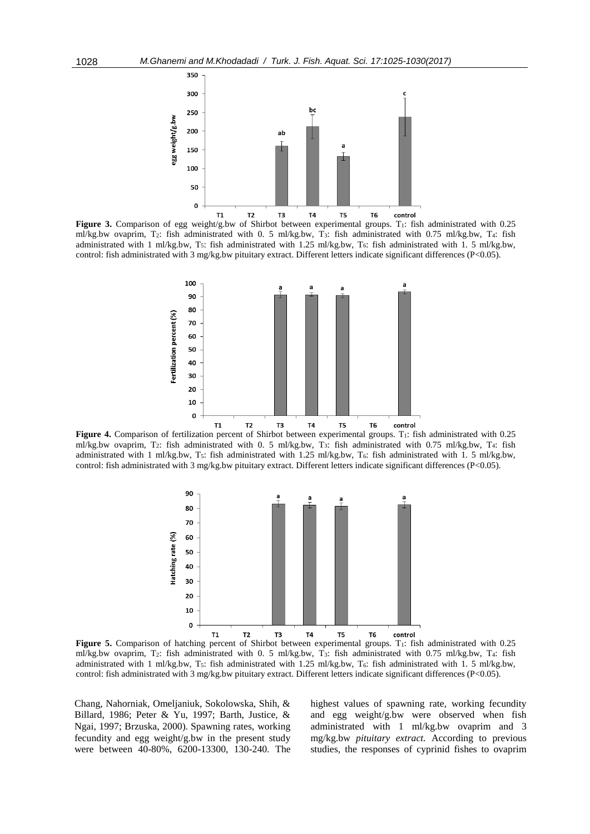

Figure 3. Comparison of egg weight/g.bw of Shirbot between experimental groups. T<sub>1</sub>: fish administrated with 0.25 ml/kg.bw ovaprim, T2: fish administrated with 0. 5 ml/kg.bw, T3: fish administrated with 0.75 ml/kg.bw, T4: fish administrated with 1 ml/kg.bw, T<sub>5</sub>: fish administrated with 1.25 ml/kg.bw, T<sub>6</sub>: fish administrated with 1.5 ml/kg.bw, control: fish administrated with 3 mg/kg.bw pituitary extract. Different letters indicate significant differences (P<0.05).



Figure 4. Comparison of fertilization percent of Shirbot between experimental groups. T<sub>1</sub>: fish administrated with 0.25 ml/kg.bw ovaprim, T2: fish administrated with 0. 5 ml/kg.bw, T3: fish administrated with 0.75 ml/kg.bw, T4: fish administrated with 1 ml/kg.bw, T5: fish administrated with 1.25 ml/kg.bw, T6: fish administrated with 1. 5 ml/kg.bw, control: fish administrated with 3 mg/kg.bw pituitary extract. Different letters indicate significant differences (P<0.05).



Figure 5. Comparison of hatching percent of Shirbot between experimental groups. T<sub>1</sub>: fish administrated with 0.25 ml/kg.bw ovaprim, T<sub>2</sub>: fish administrated with 0. 5 ml/kg.bw, T<sub>3</sub>: fish administrated with 0.75 ml/kg.bw, T<sub>4</sub>: fish administrated with 1 ml/kg.bw, T<sub>5</sub>: fish administrated with 1.25 ml/kg.bw, T<sub>6</sub>: fish administrated with 1.5 ml/kg.bw, control: fish administrated with 3 mg/kg.bw pituitary extract. Different letters indicate significant differences (P<0.05).

Chang, Nahorniak, Omeljaniuk, Sokolowska, Shih, & Billard, 1986; Peter & Yu, 1997; Barth, Justice, & Ngai, 1997; Brzuska, 2000). Spawning rates, working fecundity and egg weight/g.bw in the present study were between 40-80%, 6200-13300, 130-240. The highest values of spawning rate, working fecundity and egg weight/g.bw were observed when fish administrated with 1 ml/kg.bw ovaprim and 3 mg/kg.bw *pituitary extract.* According to previous studies*,* the responses of cyprinid fishes to ovaprim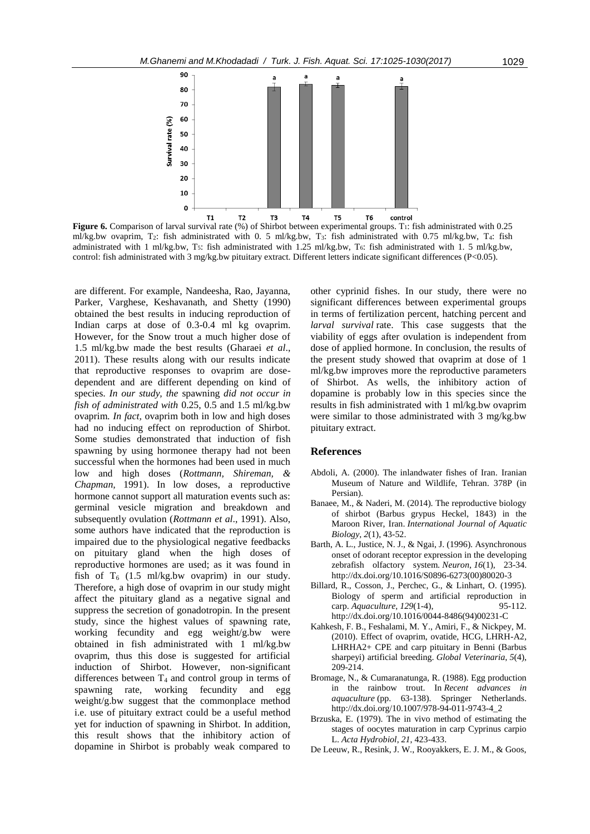

**Figure 6.** Comparison of larval survival rate (%) of Shirbot between experimental groups. T<sub>1</sub>: fish administrated with 0.25 ml/kg.bw ovaprim, T2: fish administrated with 0. 5 ml/kg.bw, T3: fish administrated with 0.75 ml/kg.bw, T4: fish administrated with 1 ml/kg.bw, T<sub>5</sub>: fish administrated with 1.25 ml/kg.bw, T<sub>6</sub>: fish administrated with 1.5 ml/kg.bw, control: fish administrated with 3 mg/kg.bw pituitary extract. Different letters indicate significant differences (P<0.05).

are different. For example, Nandeesha, Rao, Jayanna, Parker, Varghese, Keshavanath, and Shetty (1990) obtained the best results in inducing reproduction of Indian carps at dose of 0.3-0.4 ml kg ovaprim. However, for the Snow trout a much higher dose of 1.5 ml/kg.bw made the best results (Gharaei *et al*., 2011). These results along with our results indicate that reproductive responses to ovaprim are dosedependent and are different depending on kind of species. *In our study, the* spawning *did not occur in fish of administrated with* 0.25, 0.5 and 1.5 ml/kg.bw ovaprim. *In fact,* ovaprim both in low and high doses had no inducing effect on reproduction of Shirbot. Some studies demonstrated that induction of fish spawning by using hormonee therapy had not been successful when the hormones had been used in much low and high doses (*Rottmann, Shireman, & Chapman,* 1991). In low doses, a reproductive hormone cannot support all maturation events such as: germinal vesicle migration and breakdown and subsequently ovulation (*Rottmann et al*., 1991). Also, some authors have indicated that the reproduction is impaired due to the physiological negative feedbacks on pituitary gland when the high doses of reproductive hormones are used; as it was found in fish of  $T_6$  (1.5 ml/kg.bw ovaprim) in our study. Therefore, a high dose of ovaprim in our study might affect the pituitary gland as a negative signal and suppress the secretion of gonadotropin. In the present study, since the highest values of spawning rate, working fecundity and egg weight/g.bw were obtained in fish administrated with 1 ml/kg.bw ovaprim, thus this dose is suggested for artificial induction of Shirbot. However, non-significant differences between  $T_4$  and control group in terms of spawning rate, working fecundity and egg weight/g.bw suggest that the commonplace method i.e. use of pituitary extract could be a useful method yet for induction of spawning in Shirbot. In addition, this result shows that the inhibitory action of dopamine in Shirbot is probably weak compared to

other cyprinid fishes. In our study, there were no significant differences between experimental groups in terms of fertilization percent, hatching percent and *larval survival* rate. This case suggests that the viability of eggs after ovulation is independent from dose of applied hormone. In conclusion, the results of the present study showed that ovaprim at dose of 1 ml/kg.bw improves more the reproductive parameters of Shirbot. As wells, the inhibitory action of dopamine is probably low in this species since the results in fish administrated with 1 ml/kg.bw ovaprim were similar to those administrated with 3 mg/kg.bw pituitary extract.

#### **References**

- Abdoli, A. (2000). The inlandwater fishes of Iran. Iranian Museum of Nature and Wildlife, Tehran. 378P (in Persian).
- Banaee, M., & Naderi, M. (2014). The reproductive biology of shirbot (Barbus grypus Heckel, 1843) in the Maroon River, Iran. *International Journal of Aquatic Biology*, *2*(1), 43-52.
- Barth, A. L., Justice, N. J., & Ngai, J. (1996). Asynchronous onset of odorant receptor expression in the developing zebrafish olfactory system. *Neuron*, *16*(1), 23-34. [http://dx.doi.org/10.1016/S0896-6273\(00\)80020-3](http://dx.doi.org/10.1016/S0896-6273(00)80020-3)
- Billard, R., Cosson, J., Perchec, G., & Linhart, O. (1995). Biology of sperm and artificial reproduction in carp. *Aquaculture*, *129*(1-4), 95-112. [http://dx.doi.org/10.1016/0044-8486\(94\)00231-C](http://dx.doi.org/10.1016/0044-8486(94)00231-C)
- Kahkesh, F. B., Feshalami, M. Y., Amiri, F., & Nickpey, M. (2010). Effect of ovaprim, ovatide, HCG, LHRH-A2, LHRHA2+ CPE and carp pituitary in Benni (Barbus sharpeyi) artificial breeding. *Global Veterinaria*, *5*(4), 209-214.
- Bromage, N., & Cumaranatunga, R. (1988). Egg production in the rainbow trout. In *Recent advances in aquaculture* (pp. 63-138). Springer Netherlands. http://dx.doi.org/10.1007/978-94-011-9743-4\_2
- Brzuska, E. (1979). The in vivo method of estimating the stages of oocytes maturation in carp Cyprinus carpio L. *Acta Hydrobiol*, *21*, 423-433.
- De Leeuw, R., Resink, J. W., Rooyakkers, E. J. M., & Goos,